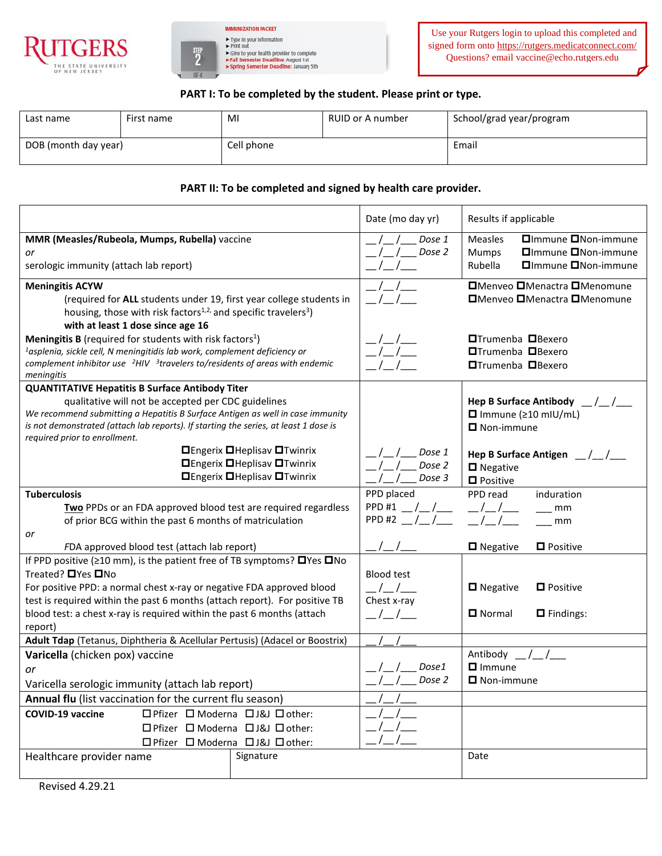



## **PART I: To be completed by the student. Please print or type.**

| Last name            | First name | MI         | RUID or A number | School/grad year/program |
|----------------------|------------|------------|------------------|--------------------------|
| DOB (month day year) |            | Cell phone |                  | Email                    |

## **PART II: To be completed and signed by health care provider.**

|                                                                                                                                                               |                                                     | Date (mo day yr)                              | Results if applicable                                |  |
|---------------------------------------------------------------------------------------------------------------------------------------------------------------|-----------------------------------------------------|-----------------------------------------------|------------------------------------------------------|--|
| MMR (Measles/Rubeola, Mumps, Rubella) vaccine                                                                                                                 |                                                     | Dose 1                                        | □Immune □Non-immune<br><b>Measles</b>                |  |
| or                                                                                                                                                            |                                                     | Dose 2                                        | □Immune □Non-immune<br><b>Mumps</b>                  |  |
| serologic immunity (attach lab report)                                                                                                                        |                                                     |                                               | □Immune □Non-immune<br>Rubella                       |  |
| <b>Meningitis ACYW</b>                                                                                                                                        |                                                     |                                               | □Menveo □Menactra □Menomune                          |  |
| (required for ALL students under 19, first year college students in                                                                                           |                                                     |                                               | □Menveo □Menactra □Menomune                          |  |
| housing, those with risk factors <sup>1,2,</sup> and specific travelers <sup>3</sup> )                                                                        |                                                     |                                               |                                                      |  |
| with at least 1 dose since age 16                                                                                                                             |                                                     |                                               |                                                      |  |
| Meningitis B (required for students with risk factors <sup>1</sup> )<br><sup>1</sup> asplenia, sickle cell, N meningitidis lab work, complement deficiency or |                                                     |                                               | <b>□Trumenba</b> □Bexero<br><b>□Trumenba</b> □Bexero |  |
| complement inhibitor use $2HIV$ 3travelers to/residents of areas with endemic                                                                                 |                                                     |                                               | <b>□Trumenba</b> □Bexero                             |  |
| meningitis                                                                                                                                                    |                                                     |                                               |                                                      |  |
| <b>QUANTITATIVE Hepatitis B Surface Antibody Titer</b>                                                                                                        |                                                     |                                               |                                                      |  |
| qualitative will not be accepted per CDC guidelines                                                                                                           |                                                     |                                               | Hep B Surface Antibody $\frac{1}{2}$                 |  |
| We recommend submitting a Hepatitis B Surface Antigen as well in case immunity                                                                                |                                                     |                                               | $\Box$ Immune ( $\geq 10$ mIU/mL)                    |  |
| is not demonstrated (attach lab reports). If starting the series, at least 1 dose is<br>required prior to enrollment.                                         |                                                     |                                               | $\blacksquare$ Non-immune                            |  |
|                                                                                                                                                               | <b>O</b> Engerix <b>O</b> Heplisav <b>O</b> Twinrix | Dose 1                                        |                                                      |  |
|                                                                                                                                                               | <b>OEngerix OHeplisav OTwinrix</b>                  | Dose 2                                        | Hep B Surface Antigen $\frac{1}{2}$                  |  |
| <b>□Engerix □Heplisav □Twinrix</b>                                                                                                                            |                                                     | Dose 3                                        | $\blacksquare$ Negative<br>$\blacksquare$ Positive   |  |
| <b>Tuberculosis</b>                                                                                                                                           |                                                     | PPD placed                                    | PPD read<br>induration                               |  |
| Two PPDs or an FDA approved blood test are required regardless                                                                                                |                                                     | PPD #1 $_{-}/_{-}/_{-}$                       | mm                                                   |  |
| of prior BCG within the past 6 months of matriculation                                                                                                        |                                                     | PPD#2                                         | mm                                                   |  |
| or                                                                                                                                                            |                                                     |                                               |                                                      |  |
| FDA approved blood test (attach lab report)                                                                                                                   |                                                     |                                               | □ Negative<br><b>D</b> Positive                      |  |
| If PPD positive ( $\geq$ 10 mm), is the patient free of TB symptoms? $\Box$ Yes $\Box$ No                                                                     |                                                     |                                               |                                                      |  |
| Treated? □ Yes □ No                                                                                                                                           |                                                     | <b>Blood test</b>                             |                                                      |  |
| For positive PPD: a normal chest x-ray or negative FDA approved blood                                                                                         |                                                     |                                               | $\blacksquare$ Negative<br>$\Box$ Positive           |  |
| test is required within the past 6 months (attach report). For positive TB                                                                                    |                                                     | Chest x-ray                                   |                                                      |  |
| blood test: a chest x-ray is required within the past 6 months (attach                                                                                        |                                                     | $\left  \begin{array}{c} \end{array} \right $ | $\Box$ Normal<br>$\Box$ Findings:                    |  |
| report)                                                                                                                                                       |                                                     |                                               |                                                      |  |
| Adult Tdap (Tetanus, Diphtheria & Acellular Pertusis) (Adacel or Boostrix)                                                                                    |                                                     |                                               |                                                      |  |
| Varicella (chicken pox) vaccine                                                                                                                               |                                                     | Dose1                                         | Antibody /<br>$\Box$ Immune                          |  |
| or                                                                                                                                                            |                                                     | Dose 2                                        | $\Box$ Non-immune                                    |  |
| Varicella serologic immunity (attach lab report)                                                                                                              |                                                     |                                               |                                                      |  |
| Annual flu (list vaccination for the current flu season)                                                                                                      |                                                     |                                               |                                                      |  |
| COVID-19 vaccine<br>□ Pfizer □ Moderna □ J&J □ other:                                                                                                         |                                                     |                                               |                                                      |  |
| □ Pfizer □ Moderna □ J&J □ other:                                                                                                                             |                                                     |                                               |                                                      |  |
| □ Pfizer □ Moderna □ J&J □ other:                                                                                                                             |                                                     |                                               |                                                      |  |
| Signature<br>Healthcare provider name                                                                                                                         |                                                     |                                               | Date                                                 |  |
|                                                                                                                                                               |                                                     |                                               |                                                      |  |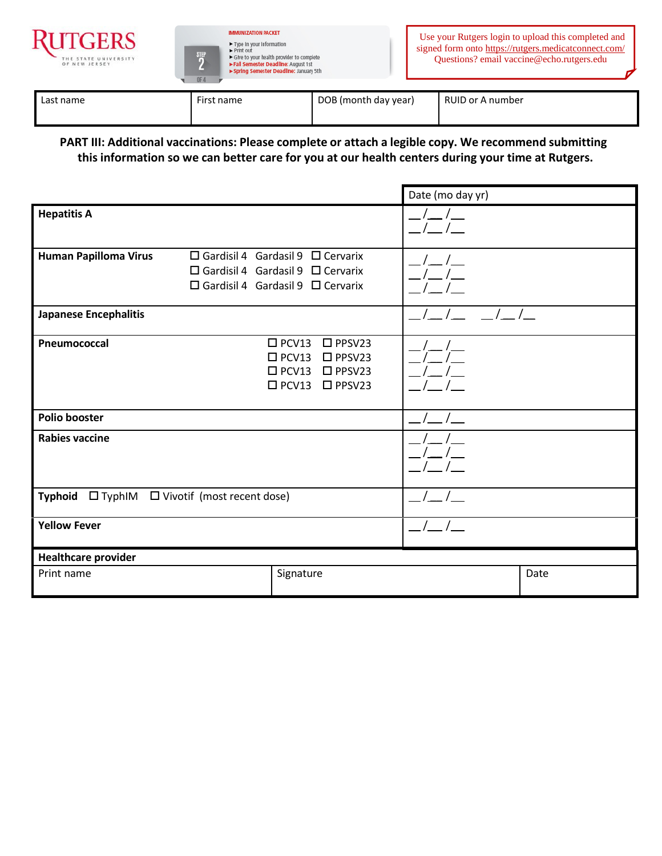



| Last name | First name | DOB (month day year) | RUID or A number |
|-----------|------------|----------------------|------------------|
|           |            |                      |                  |

**PART III: Additional vaccinations: Please complete or attach a legible copy. We recommend submitting this information so we can better care for you at our health centers during your time at Rutgers.**

|                                               |                                                                                                                                              | Date (mo day yr) |      |
|-----------------------------------------------|----------------------------------------------------------------------------------------------------------------------------------------------|------------------|------|
| <b>Hepatitis A</b>                            |                                                                                                                                              |                  |      |
| <b>Human Papilloma Virus</b>                  | $\Box$ Gardisil 4 Gardasil 9 $\Box$ Cervarix<br>$\Box$ Gardisil 4 Gardasil 9 $\Box$ Cervarix<br>$\Box$ Gardisil 4 Gardasil 9 $\Box$ Cervarix |                  |      |
| <b>Japanese Encephalitis</b>                  |                                                                                                                                              |                  |      |
| Pneumococcal                                  | $\square$ PCV13<br>$\square$ PPSV23<br>$\square$ PCV13<br>$\square$ PPSV23<br>$\square$ PCV13<br>$\Box$ PPSV23<br>□ PCV13 □ PPSV23           |                  |      |
| <b>Polio booster</b>                          |                                                                                                                                              |                  |      |
| <b>Rabies vaccine</b>                         |                                                                                                                                              |                  |      |
| Typhoid □ TyphIM □ Vivotif (most recent dose) |                                                                                                                                              |                  |      |
| <b>Yellow Fever</b>                           |                                                                                                                                              |                  |      |
| <b>Healthcare provider</b>                    |                                                                                                                                              |                  |      |
| Print name                                    | Signature                                                                                                                                    |                  | Date |